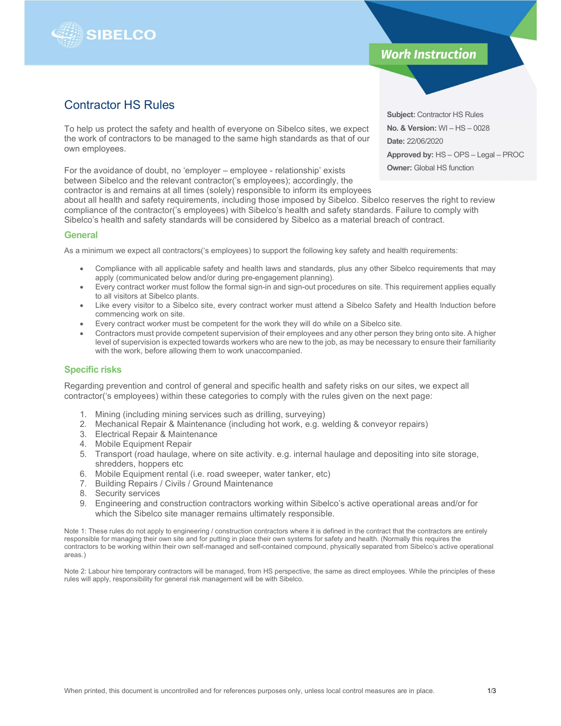

## **Work Instruction**

# Contractor HS Rules

To help us protect the safety and health of everyone on Sibelco sites, we expect the work of contractors to be managed to the same high standards as that of our own employees.

For the avoidance of doubt, no 'employer – employee - relationship' exists between Sibelco and the relevant contractor('s employees); accordingly, the

contractor is and remains at all times (solely) responsible to inform its employees about all health and safety requirements, including those imposed by Sibelco. Sibelco reserves the right to review compliance of the contractor('s employees) with Sibelco's health and safety standards. Failure to comply with

Sibelco's health and safety standards will be considered by Sibelco as a material breach of contract.

#### **General**

As a minimum we expect all contractors('s employees) to support the following key safety and health requirements:

- Compliance with all applicable safety and health laws and standards, plus any other Sibelco requirements that may apply (communicated below and/or during pre-engagement planning).
- Every contract worker must follow the formal sign-in and sign-out procedures on site. This requirement applies equally to all visitors at Sibelco plants.
- Like every visitor to a Sibelco site, every contract worker must attend a Sibelco Safety and Health Induction before commencing work on site.
- Every contract worker must be competent for the work they will do while on a Sibelco site.
- Contractors must provide competent supervision of their employees and any other person they bring onto site. A higher level of supervision is expected towards workers who are new to the job, as may be necessary to ensure their familiarity with the work, before allowing them to work unaccompanied.

#### Specific risks

Regarding prevention and control of general and specific health and safety risks on our sites, we expect all contractor('s employees) within these categories to comply with the rules given on the next page:

- 1. Mining (including mining services such as drilling, surveying)
- 2. Mechanical Repair & Maintenance (including hot work, e.g. welding & conveyor repairs)
- 3. Electrical Repair & Maintenance
- 4. Mobile Equipment Repair
- 5. Transport (road haulage, where on site activity. e.g. internal haulage and depositing into site storage, shredders, hoppers etc
- 6. Mobile Equipment rental (i.e. road sweeper, water tanker, etc)
- 7. Building Repairs / Civils / Ground Maintenance
- 8. Security services
- 9. Engineering and construction contractors working within Sibelco's active operational areas and/or for which the Sibelco site manager remains ultimately responsible.

Note 1: These rules do not apply to engineering / construction contractors where it is defined in the contract that the contractors are entirely responsible for managing their own site and for putting in place their own systems for safety and health. (Normally this requires the contractors to be working within their own self-managed and self-contained compound, physically separated from Sibelco's active operational areas.)

Note 2: Labour hire temporary contractors will be managed, from HS perspective, the same as direct employees. While the principles of these rules will apply, responsibility for general risk management will be with Sibelco.

Subject: Contractor HS Rules No. & Version: WI – HS – 0028 Date: 22/06/2020 Approved by: HS – OPS – Legal – PROC **Owner: Global HS function**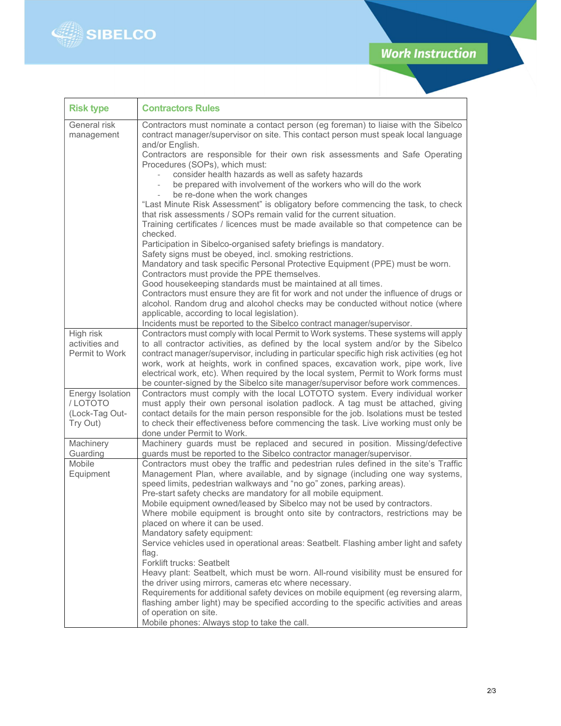

| <b>Risk type</b>                                                 | <b>Contractors Rules</b>                                                                                                                                                                                                                                                                                                                                                                                                                                                                                                                                                                                                                                                                                                                                                                                                                                                                                                                                                                                                                                                                                                                                                                                                                                                                                                                                                                          |
|------------------------------------------------------------------|---------------------------------------------------------------------------------------------------------------------------------------------------------------------------------------------------------------------------------------------------------------------------------------------------------------------------------------------------------------------------------------------------------------------------------------------------------------------------------------------------------------------------------------------------------------------------------------------------------------------------------------------------------------------------------------------------------------------------------------------------------------------------------------------------------------------------------------------------------------------------------------------------------------------------------------------------------------------------------------------------------------------------------------------------------------------------------------------------------------------------------------------------------------------------------------------------------------------------------------------------------------------------------------------------------------------------------------------------------------------------------------------------|
| General risk<br>management                                       | Contractors must nominate a contact person (eg foreman) to liaise with the Sibelco<br>contract manager/supervisor on site. This contact person must speak local language<br>and/or English.<br>Contractors are responsible for their own risk assessments and Safe Operating<br>Procedures (SOPs), which must:<br>consider health hazards as well as safety hazards<br>be prepared with involvement of the workers who will do the work<br>$\overline{a}$<br>be re-done when the work changes<br>"Last Minute Risk Assessment" is obligatory before commencing the task, to check<br>that risk assessments / SOPs remain valid for the current situation.<br>Training certificates / licences must be made available so that competence can be<br>checked.<br>Participation in Sibelco-organised safety briefings is mandatory.<br>Safety signs must be obeyed, incl. smoking restrictions.<br>Mandatory and task specific Personal Protective Equipment (PPE) must be worn.<br>Contractors must provide the PPE themselves.<br>Good housekeeping standards must be maintained at all times.<br>Contractors must ensure they are fit for work and not under the influence of drugs or<br>alcohol. Random drug and alcohol checks may be conducted without notice (where<br>applicable, according to local legislation).<br>Incidents must be reported to the Sibelco contract manager/supervisor. |
| High risk<br>activities and<br>Permit to Work                    | Contractors must comply with local Permit to Work systems. These systems will apply<br>to all contractor activities, as defined by the local system and/or by the Sibelco<br>contract manager/supervisor, including in particular specific high risk activities (eg hot<br>work, work at heights, work in confined spaces, excavation work, pipe work, live<br>electrical work, etc). When required by the local system, Permit to Work forms must<br>be counter-signed by the Sibelco site manager/supervisor before work commences.                                                                                                                                                                                                                                                                                                                                                                                                                                                                                                                                                                                                                                                                                                                                                                                                                                                             |
| <b>Energy Isolation</b><br>/LOTOTO<br>(Lock-Tag Out-<br>Try Out) | Contractors must comply with the local LOTOTO system. Every individual worker<br>must apply their own personal isolation padlock. A tag must be attached, giving<br>contact details for the main person responsible for the job. Isolations must be tested<br>to check their effectiveness before commencing the task. Live working must only be<br>done under Permit to Work.                                                                                                                                                                                                                                                                                                                                                                                                                                                                                                                                                                                                                                                                                                                                                                                                                                                                                                                                                                                                                    |
| Machinery<br>Guarding<br>Mobile<br>Equipment                     | Machinery guards must be replaced and secured in position. Missing/defective<br>guards must be reported to the Sibelco contractor manager/supervisor.<br>Contractors must obey the traffic and pedestrian rules defined in the site's Traffic<br>Management Plan, where available, and by signage (including one way systems,<br>speed limits, pedestrian walkways and "no go" zones, parking areas).<br>Pre-start safety checks are mandatory for all mobile equipment.<br>Mobile equipment owned/leased by Sibelco may not be used by contractors.<br>Where mobile equipment is brought onto site by contractors, restrictions may be<br>placed on where it can be used.<br>Mandatory safety equipment:<br>Service vehicles used in operational areas: Seatbelt. Flashing amber light and safety<br>flag.<br>Forklift trucks: Seatbelt<br>Heavy plant: Seatbelt, which must be worn. All-round visibility must be ensured for<br>the driver using mirrors, cameras etc where necessary.<br>Requirements for additional safety devices on mobile equipment (eg reversing alarm,<br>flashing amber light) may be specified according to the specific activities and areas<br>of operation on site.<br>Mobile phones: Always stop to take the call.                                                                                                                                                |